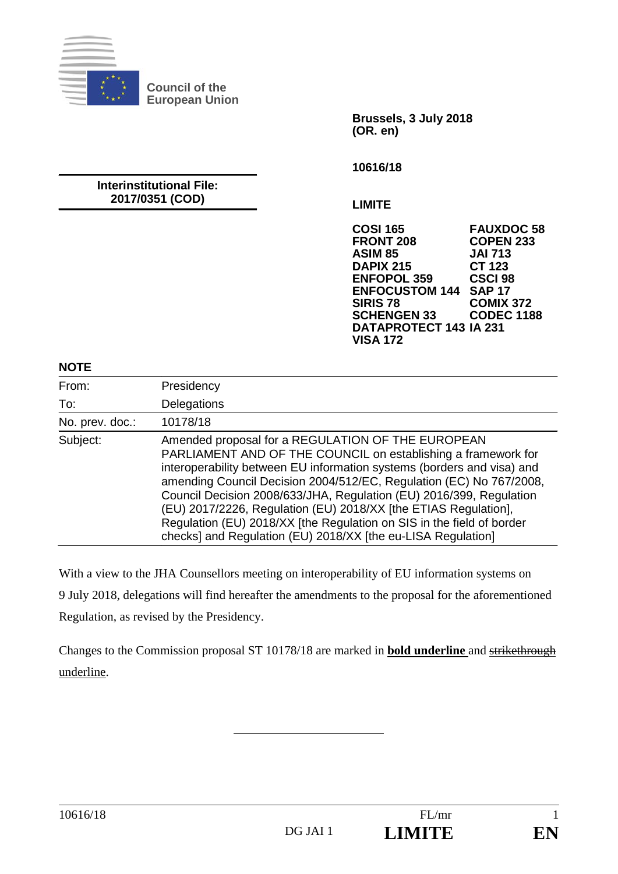

**Council of the European Union** 

> **Brussels, 3 July 2018 (OR. en)**

**10616/18** 

#### **Interinstitutional File: 2017/0351 (COD)**

**LIMITE** 

**COSI 165 FAUXDOC 58 COPEN 233 ASIM 85 JAI 713 DAPIX 215 CT 123 ENFOPOL 359 CSCI 98 ENFOCUSTOM 144<br>SIRIS 78 COMIX 372<br>CODEC 1188 SCHENGEN 33 DATAPROTECT 143 IA 231 VISA 172** 

#### **NOTE**

| From:           | Presidency                                                                                                                                                                                                                                                                                                                                                                                                                                                                                                                                             |
|-----------------|--------------------------------------------------------------------------------------------------------------------------------------------------------------------------------------------------------------------------------------------------------------------------------------------------------------------------------------------------------------------------------------------------------------------------------------------------------------------------------------------------------------------------------------------------------|
| To:             | Delegations                                                                                                                                                                                                                                                                                                                                                                                                                                                                                                                                            |
| No. prev. doc.: | 10178/18                                                                                                                                                                                                                                                                                                                                                                                                                                                                                                                                               |
| Subject:        | Amended proposal for a REGULATION OF THE EUROPEAN<br>PARLIAMENT AND OF THE COUNCIL on establishing a framework for<br>interoperability between EU information systems (borders and visa) and<br>amending Council Decision 2004/512/EC, Regulation (EC) No 767/2008,<br>Council Decision 2008/633/JHA, Regulation (EU) 2016/399, Regulation<br>(EU) 2017/2226, Regulation (EU) 2018/XX [the ETIAS Regulation],<br>Regulation (EU) 2018/XX [the Regulation on SIS in the field of border<br>checks] and Regulation (EU) 2018/XX [the eu-LISA Regulation] |

With a view to the JHA Counsellors meeting on interoperability of EU information systems on 9 July 2018, delegations will find hereafter the amendments to the proposal for the aforementioned Regulation, as revised by the Presidency.

Changes to the Commission proposal ST 10178/18 are marked in **bold underline** and strikethrough underline.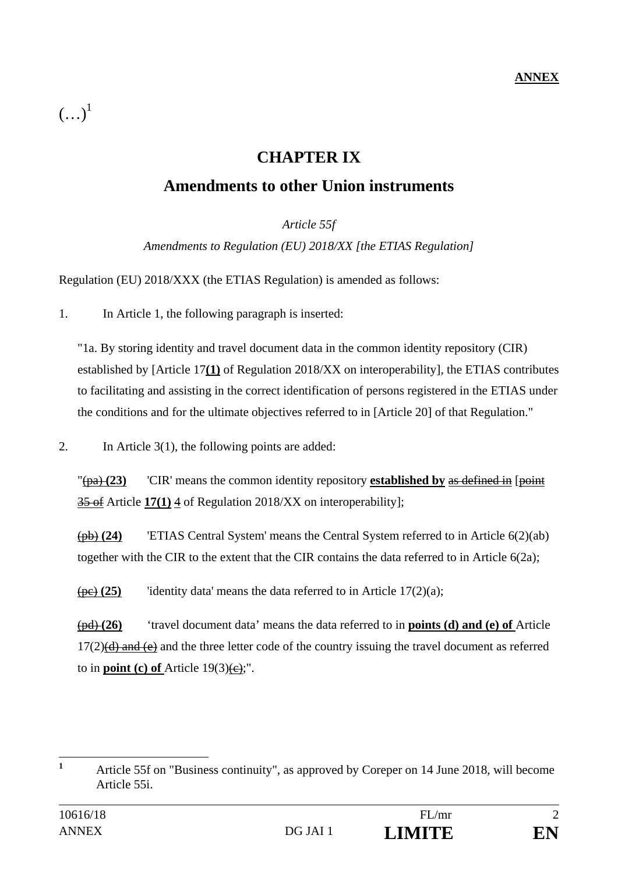# **CHAPTER IX**

# **Amendments to other Union instruments**

*Article 55f* 

*Amendments to Regulation (EU) 2018/XX [the ETIAS Regulation]* 

Regulation (EU) 2018/XXX (the ETIAS Regulation) is amended as follows:

1. In Article 1, the following paragraph is inserted:

"1a. By storing identity and travel document data in the common identity repository (CIR) established by [Article 17**(1)** of Regulation 2018/XX on interoperability], the ETIAS contributes to facilitating and assisting in the correct identification of persons registered in the ETIAS under the conditions and for the ultimate objectives referred to in [Article 20] of that Regulation."

2. In Article 3(1), the following points are added:

"(pa) (23) CIR' means the common identity repository **established by** as defined in [point] 35 of Article **17(1)** 4 of Regulation 2018/XX on interoperability];

(pb) **(24)** 'ETIAS Central System' means the Central System referred to in Article 6(2)(ab) together with the CIR to the extent that the CIR contains the data referred to in Article 6(2a);

 $\frac{\pi}{25}$  'identity data' means the data referred to in Article 17(2)(a);

(pd) **(26)** 'travel document data' means the data referred to in **points (d) and (e) of** Article  $17(2)$ (d) and (e) and the three letter code of the country issuing the travel document as referred to in **point** (c) of Article  $19(3)(e)$ ;".

 **1** Article 55f on "Business continuity", as approved by Coreper on 14 June 2018, will become Article 55i.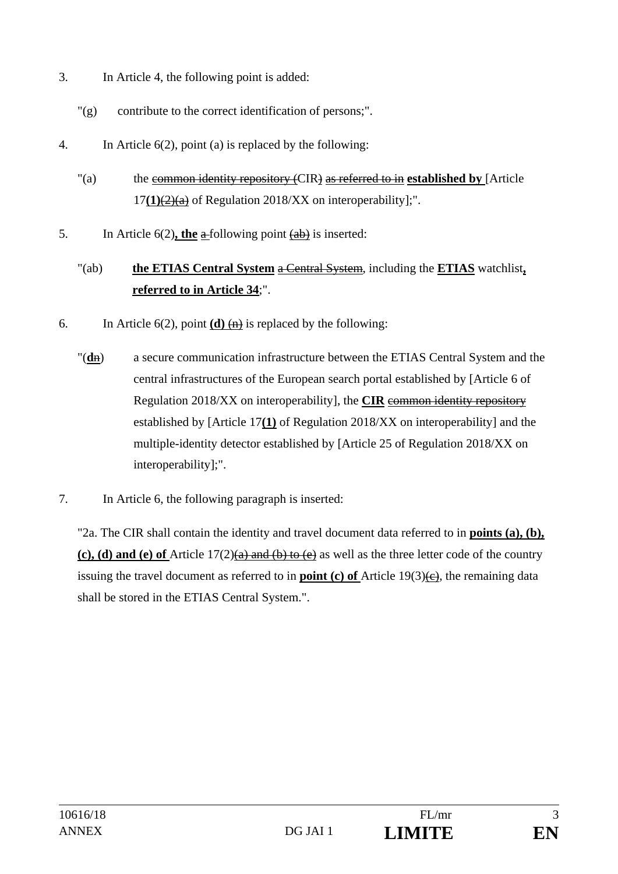- 3. In Article 4, the following point is added:
	- "(g) contribute to the correct identification of persons;".
- 4. In Article 6(2), point (a) is replaced by the following:
	- "(a) the common identity repository (CIR) as referred to in **established by** [Article 17**(1)**(2)(a) of Regulation 2018/XX on interoperability];".
- 5. In Article 6(2), the a-following point (ab) is inserted:

# "(ab) **the ETIAS Central System** a Central System, including the **ETIAS** watchlist**, referred to in Article 34**;".

- 6. In Article 6(2), point  $(d)$   $\overleftrightarrow{(n)}$  is replaced by the following:
	- "(**d**n) a secure communication infrastructure between the ETIAS Central System and the central infrastructures of the European search portal established by [Article 6 of Regulation 2018/XX on interoperability], the **CIR** common identity repository established by [Article 17**(1)** of Regulation 2018/XX on interoperability] and the multiple-identity detector established by [Article 25 of Regulation 2018/XX on interoperability];".
- 7. In Article 6, the following paragraph is inserted:

"2a. The CIR shall contain the identity and travel document data referred to in **points (a), (b), (c), (d) and (e) of** Article 17(2)(a) and (b) to (e) as well as the three letter code of the country issuing the travel document as referred to in **point (c) of** Article 19(3) $\left(\text{e}\right)$ , the remaining data shall be stored in the ETIAS Central System.".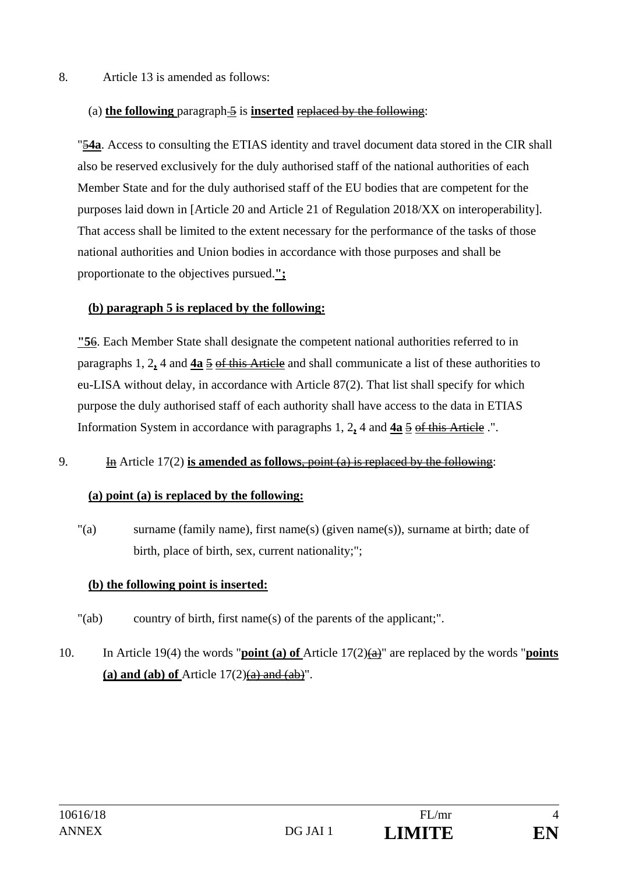#### 8. Article 13 is amended as follows:

#### (a) **the following** paragraph 5 is **inserted** replaced by the following:

"5**4a**. Access to consulting the ETIAS identity and travel document data stored in the CIR shall also be reserved exclusively for the duly authorised staff of the national authorities of each Member State and for the duly authorised staff of the EU bodies that are competent for the purposes laid down in [Article 20 and Article 21 of Regulation 2018/XX on interoperability]. That access shall be limited to the extent necessary for the performance of the tasks of those national authorities and Union bodies in accordance with those purposes and shall be proportionate to the objectives pursued.**";**

#### **(b) paragraph 5 is replaced by the following:**

**"5**6. Each Member State shall designate the competent national authorities referred to in paragraphs 1, 2**,** 4 and **4a** 5 of this Article and shall communicate a list of these authorities to eu-LISA without delay, in accordance with Article 87(2). That list shall specify for which purpose the duly authorised staff of each authority shall have access to the data in ETIAS Information System in accordance with paragraphs 1, 2**,** 4 and **4a** 5 of this Article .".

#### 9. In Article 17(2) **is amended as follows**, point (a) is replaced by the following:

### **(a) point (a) is replaced by the following:**

"(a) surname (family name), first name(s) (given name(s)), surname at birth; date of birth, place of birth, sex, current nationality;";

### **(b) the following point is inserted:**

- "(ab) country of birth, first name(s) of the parents of the applicant;" .
- 10. In Article 19(4) the words "**point (a) of** Article 17(2)(a)" are replaced by the words "**points**  (a) and (ab) of Article  $17(2)$ (a) and  $(ab)$ ".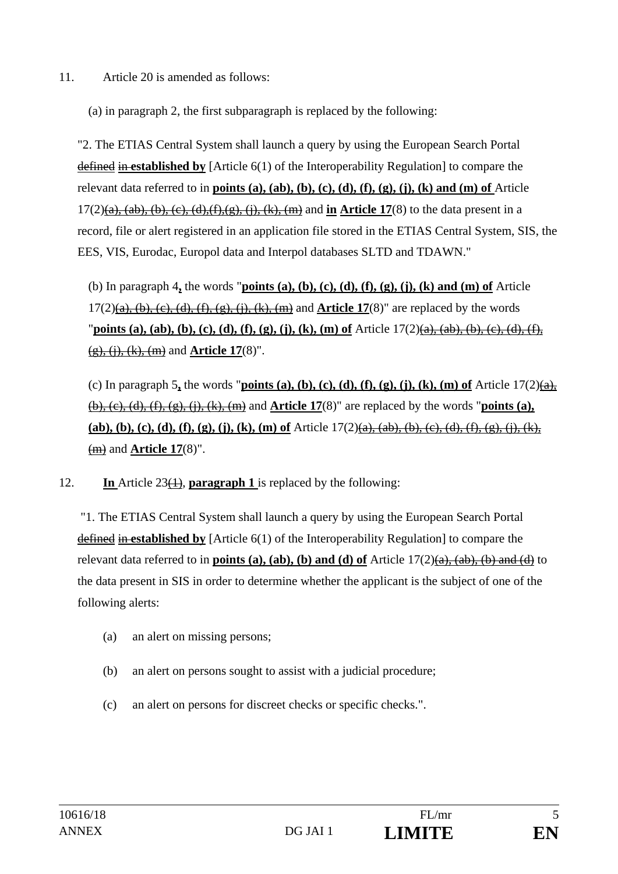11. Article 20 is amended as follows:

(a) in paragraph 2, the first subparagraph is replaced by the following:

"2. The ETIAS Central System shall launch a query by using the European Search Portal defined in **established by** [Article 6(1) of the Interoperability Regulation] to compare the relevant data referred to in **points (a), (ab), (b), (c), (d), (f), (g), (j), (k) and (m) of** Article 17(2)(a), (ab), (b), (c), (d),(f),(g), (j), (k), (m) and **in Article 17**(8) to the data present in a record, file or alert registered in an application file stored in the ETIAS Central System, SIS, the EES, VIS, Eurodac, Europol data and Interpol databases SLTD and TDAWN."

(b) In paragraph 4**,** the words "**points (a), (b), (c), (d), (f), (g), (j), (k) and (m) of** Article  $17(2)(a)$ , (b), (c), (d), (f), (g), (i), (k), (m) and **Article 17**(8)" are replaced by the words "**points (a), (ab), (b), (c), (d), (f), (g), (j), (k), (m) of** Article 17(2)(a), (ab), (b), (c), (d), (f), (g), (j), (k), (m) and **Article 17**(8)".

(c) In paragraph 5, the words "**points (a), (b), (c), (d), (f), (g), (j), (k), (m) of** Article  $17(2)(a)$ , (b), (c), (d), (f), (g), (j), (k), (m) and **Article 17**(8)" are replaced by the words "**points (a),**  (ab), (b), (c), (d), (f), (g), (j), (k), (m) of Article  $17(2)(a)$ , (ab), (b), (c), (d), (f), (g), (i), (k), (m) and **Article 17**(8)".

12. **In** Article 23(1), **paragraph 1** is replaced by the following:

 "1. The ETIAS Central System shall launch a query by using the European Search Portal defined in **established by** [Article 6(1) of the Interoperability Regulation] to compare the relevant data referred to in **points (a), (ab), (b) and (d) of** Article 17(2)(a), (ab), (b) and (d) to the data present in SIS in order to determine whether the applicant is the subject of one of the following alerts:

- (a) an alert on missing persons;
- (b) an alert on persons sought to assist with a judicial procedure;
- (c) an alert on persons for discreet checks or specific checks.".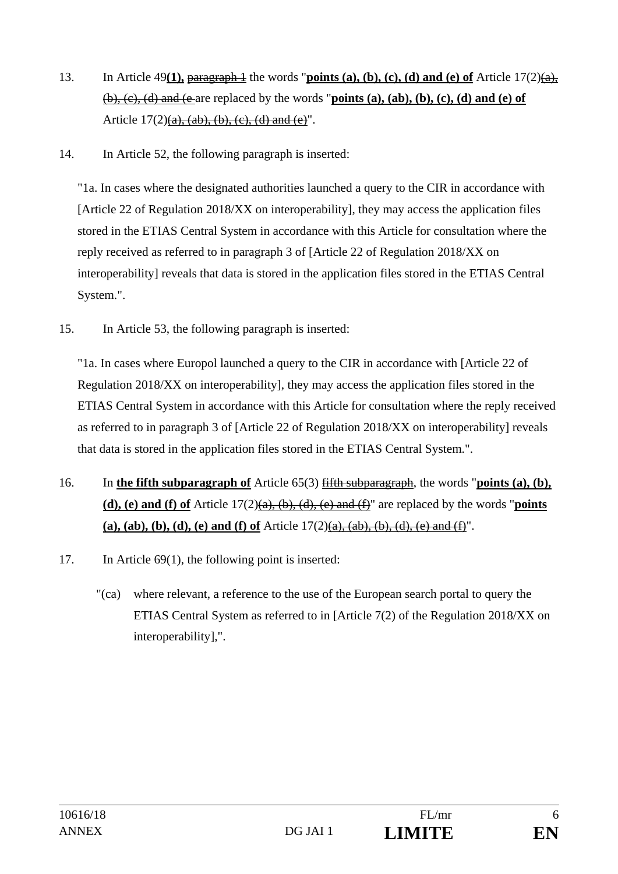- 13. In Article 49(1), paragraph 1 the words "**points (a), (b), (c), (d) and (e) of** Article  $17(2)(a)$ , (b), (c), (d) and (e are replaced by the words "**points (a), (ab), (b), (c), (d) and (e) of** Article  $17(2)(a)$ ,  $(ab)$ ,  $(b)$ ,  $(c)$ ,  $(d)$  and  $(e)$ ".
- 14. In Article 52, the following paragraph is inserted:

"1a. In cases where the designated authorities launched a query to the CIR in accordance with [Article 22 of Regulation 2018/XX on interoperability], they may access the application files stored in the ETIAS Central System in accordance with this Article for consultation where the reply received as referred to in paragraph 3 of [Article 22 of Regulation 2018/XX on interoperability] reveals that data is stored in the application files stored in the ETIAS Central System.".

15. In Article 53, the following paragraph is inserted:

"1a. In cases where Europol launched a query to the CIR in accordance with [Article 22 of Regulation 2018/XX on interoperability], they may access the application files stored in the ETIAS Central System in accordance with this Article for consultation where the reply received as referred to in paragraph 3 of [Article 22 of Regulation 2018/XX on interoperability] reveals that data is stored in the application files stored in the ETIAS Central System.".

- 16. In **the fifth subparagraph of** Article 65(3) fifth subparagraph, the words "**points (a), (b),**  (d), (e) and (f) of Article  $17(2)(a)$ ,  $(b)$ ,  $(d)$ ,  $(e)$  and  $(f)$ " are replaced by the words "**points** (a), (ab), (b), (d), (e) and (f) of Article  $17(2)(a)$ ,  $(ab)$ ,  $(b)$ ,  $(d)$ ,  $(e)$  and  $(f)$ ".
- 17. In Article 69(1), the following point is inserted:
	- "(ca) where relevant, a reference to the use of the European search portal to query the ETIAS Central System as referred to in [Article 7(2) of the Regulation 2018/XX on interoperability],".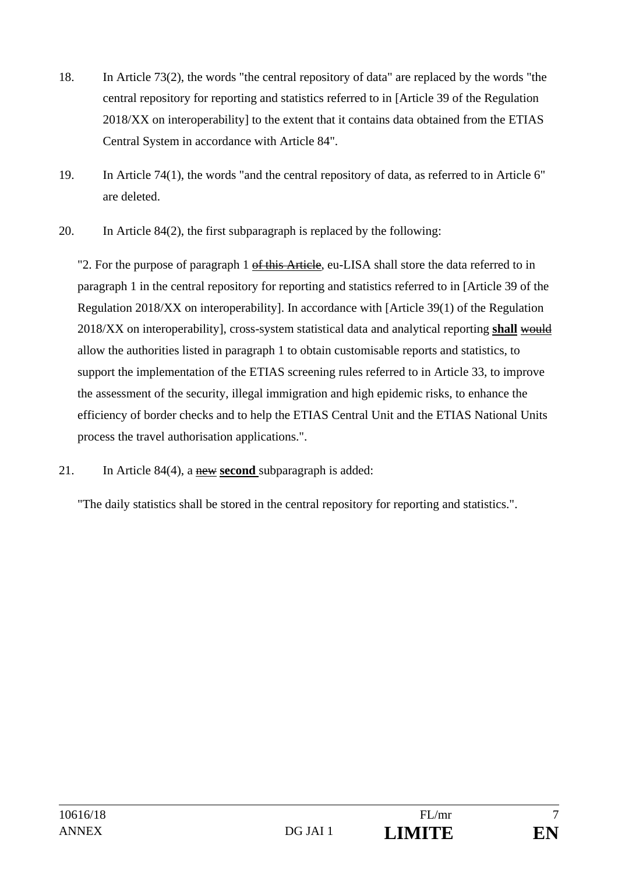- 18. In Article 73(2), the words "the central repository of data" are replaced by the words "the central repository for reporting and statistics referred to in [Article 39 of the Regulation 2018/XX on interoperability] to the extent that it contains data obtained from the ETIAS Central System in accordance with Article 84".
- 19. In Article 74(1), the words "and the central repository of data, as referred to in Article 6" are deleted.
- 20. In Article 84(2), the first subparagraph is replaced by the following:

"2. For the purpose of paragraph 1 of this Article, eu-LISA shall store the data referred to in paragraph 1 in the central repository for reporting and statistics referred to in [Article 39 of the Regulation 2018/XX on interoperability]. In accordance with [Article 39(1) of the Regulation 2018/XX on interoperability], cross-system statistical data and analytical reporting **shall** would allow the authorities listed in paragraph 1 to obtain customisable reports and statistics, to support the implementation of the ETIAS screening rules referred to in Article 33, to improve the assessment of the security, illegal immigration and high epidemic risks, to enhance the efficiency of border checks and to help the ETIAS Central Unit and the ETIAS National Units process the travel authorisation applications.".

21. In Article 84(4), a new **second** subparagraph is added:

"The daily statistics shall be stored in the central repository for reporting and statistics.".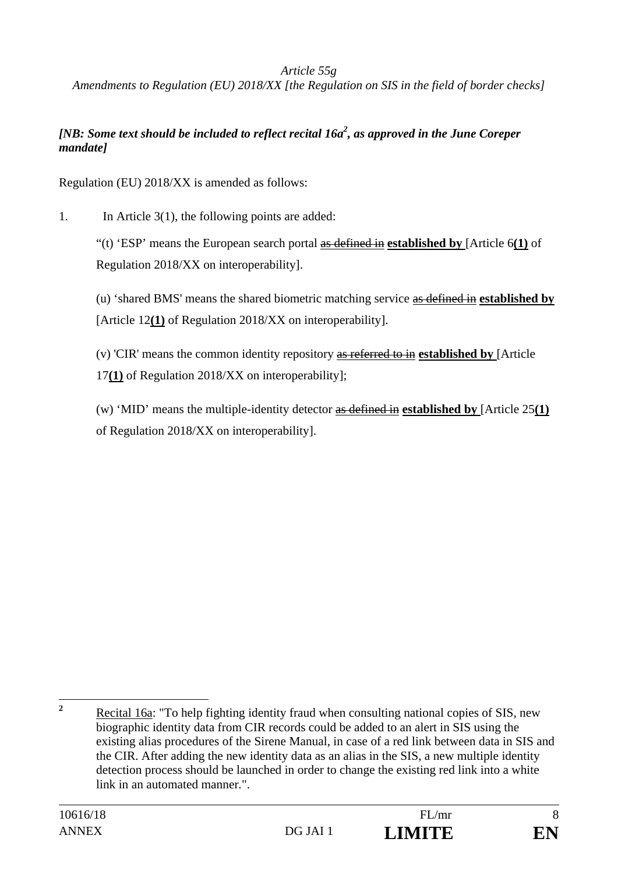### *Article 55g*

*Amendments to Regulation (EU) 2018/XX [the Regulation on SIS in the field of border checks]* 

## *[NB: Some text should be included to reflect recital 16a2 , as approved in the June Coreper mandate]*

Regulation (EU) 2018/XX is amended as follows:

1. In Article 3(1), the following points are added:

"(t) 'ESP' means the European search portal as defined in **established by** [Article 6**(1)** of Regulation 2018/XX on interoperability].

(u) 'shared BMS' means the shared biometric matching service as defined in **established by**  [Article 12**(1)** of Regulation 2018/XX on interoperability].

(v) 'CIR' means the common identity repository as referred to in **established by** [Article 17**(1)** of Regulation 2018/XX on interoperability];

(w) 'MID' means the multiple-identity detector as defined in **established by** [Article 25**(1)** of Regulation 2018/XX on interoperability].

 **2** Recital 16a: "To help fighting identity fraud when consulting national copies of SIS, new biographic identity data from CIR records could be added to an alert in SIS using the existing alias procedures of the Sirene Manual, in case of a red link between data in SIS and the CIR. After adding the new identity data as an alias in the SIS, a new multiple identity detection process should be launched in order to change the existing red link into a white link in an automated manner*.*".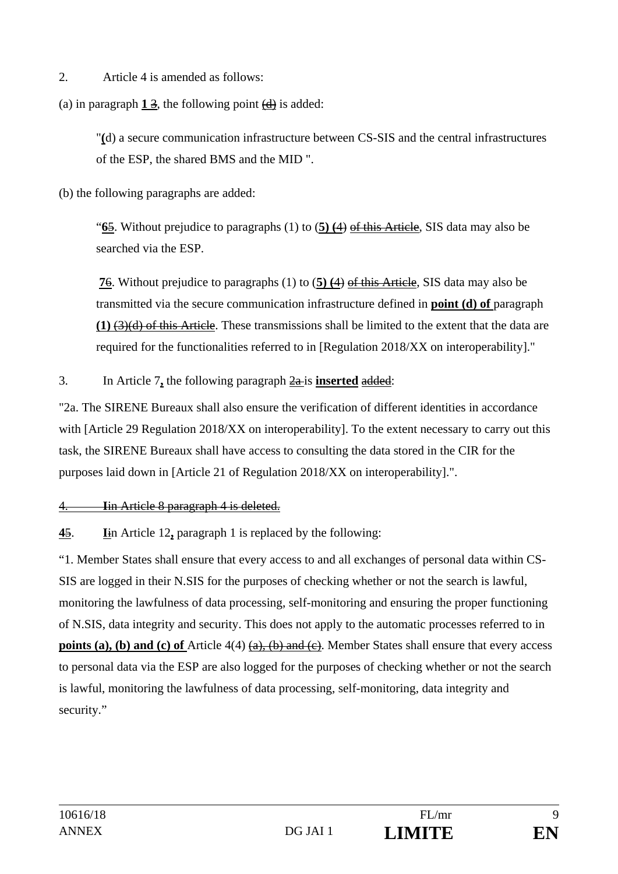2. Article 4 is amended as follows:

(a) in paragraph  $1\overline{3}$ , the following point  $\overline{4}$  is added:

"**(**d) a secure communication infrastructure between CS-SIS and the central infrastructures of the ESP, the shared BMS and the MID ".

(b) the following paragraphs are added:

"**6**5. Without prejudice to paragraphs (1) to (**5) (**4) of this Article, SIS data may also be searched via the ESP.

**7**6. Without prejudice to paragraphs (1) to (**5) (**4) of this Article, SIS data may also be transmitted via the secure communication infrastructure defined in **point (d) of** paragraph **(1)** (3)(d) of this Article. These transmissions shall be limited to the extent that the data are required for the functionalities referred to in [Regulation 2018/XX on interoperability]."

3. In Article 7**,** the following paragraph 2a is **inserted** added:

"2a. The SIRENE Bureaux shall also ensure the verification of different identities in accordance with [Article 29 Regulation 2018/XX on interoperability]. To the extent necessary to carry out this task, the SIRENE Bureaux shall have access to consulting the data stored in the CIR for the purposes laid down in [Article 21 of Regulation 2018/XX on interoperability].".

4. **I**in Article 8 paragraph 4 is deleted.

**4**5. **I**in Article 12**,** paragraph 1 is replaced by the following:

"1. Member States shall ensure that every access to and all exchanges of personal data within CS-SIS are logged in their N.SIS for the purposes of checking whether or not the search is lawful, monitoring the lawfulness of data processing, self-monitoring and ensuring the proper functioning of N.SIS, data integrity and security. This does not apply to the automatic processes referred to in **points (a), (b) and (c) of** Article 4(4) (a), (b) and (c). Member States shall ensure that every access to personal data via the ESP are also logged for the purposes of checking whether or not the search is lawful, monitoring the lawfulness of data processing, self-monitoring, data integrity and security."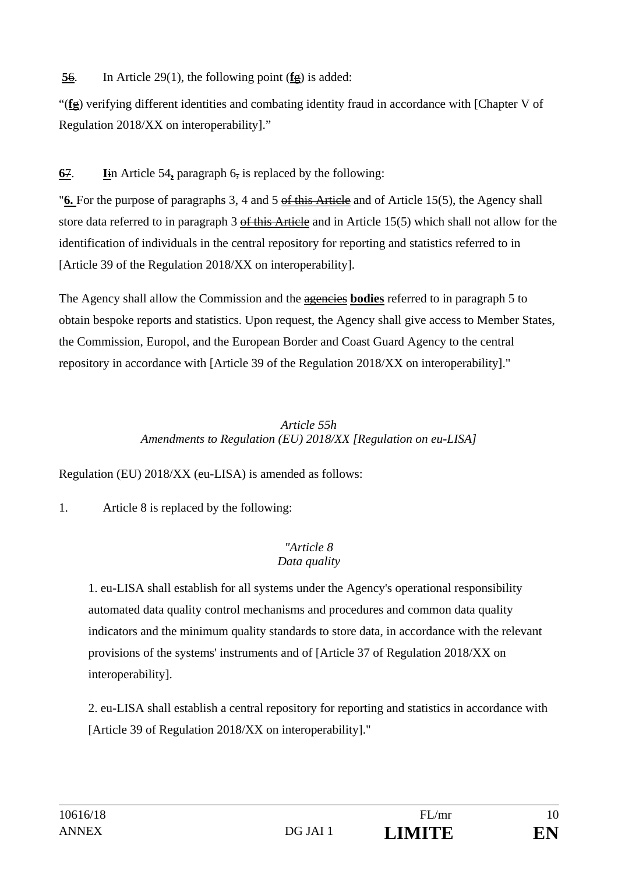# **5**6. In Article 29(1), the following point (**f**g) is added:

"(**f**g) verifying different identities and combating identity fraud in accordance with [Chapter V of Regulation 2018/XX on interoperability]."

# **6**7. **I**in Article 54**,** paragraph 6, is replaced by the following:

"**6.** For the purpose of paragraphs 3, 4 and 5 of this Article and of Article 15(5), the Agency shall store data referred to in paragraph 3 of this Article and in Article 15(5) which shall not allow for the identification of individuals in the central repository for reporting and statistics referred to in [Article 39 of the Regulation 2018/XX on interoperability].

The Agency shall allow the Commission and the agencies **bodies** referred to in paragraph 5 to obtain bespoke reports and statistics. Upon request, the Agency shall give access to Member States, the Commission, Europol, and the European Border and Coast Guard Agency to the central repository in accordance with [Article 39 of the Regulation 2018/XX on interoperability]."

## *Article 55h Amendments to Regulation (EU) 2018/XX [Regulation on eu-LISA]*

Regulation (EU) 2018/XX (eu-LISA) is amended as follows:

1. Article 8 is replaced by the following:

#### *"Article 8 Data quality*

1. eu-LISA shall establish for all systems under the Agency's operational responsibility automated data quality control mechanisms and procedures and common data quality indicators and the minimum quality standards to store data, in accordance with the relevant provisions of the systems' instruments and of [Article 37 of Regulation 2018/XX on interoperability].

2. eu-LISA shall establish a central repository for reporting and statistics in accordance with [Article 39 of Regulation 2018/XX on interoperability]."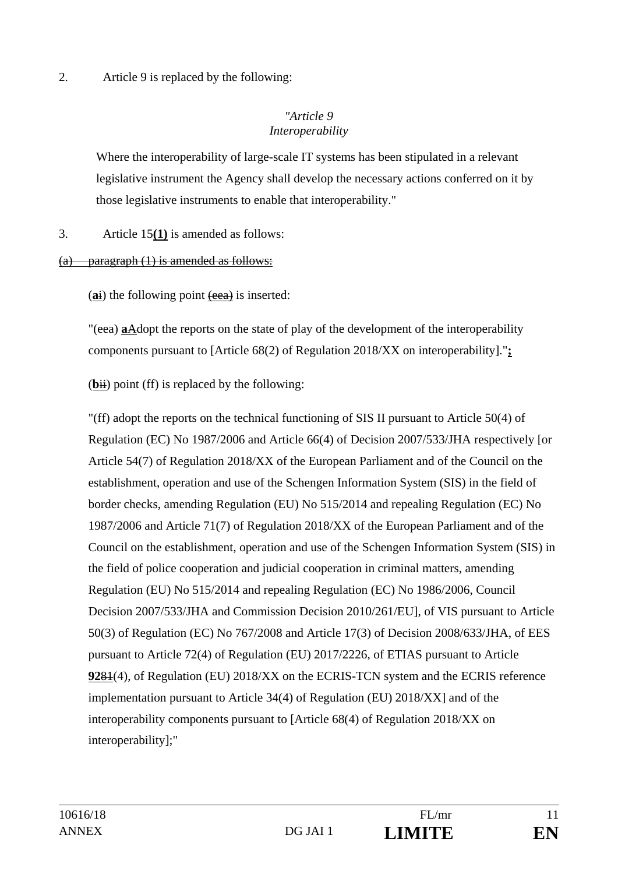2. Article 9 is replaced by the following:

## *"Article 9 Interoperability*

Where the interoperability of large-scale IT systems has been stipulated in a relevant legislative instrument the Agency shall develop the necessary actions conferred on it by those legislative instruments to enable that interoperability."

3. Article 15**(1)** is amended as follows:

## (a) paragraph (1) is amended as follows:

(ai) the following point (eea) is inserted:

"(eea) **a**Adopt the reports on the state of play of the development of the interoperability components pursuant to [Article 68(2) of Regulation 2018/XX on interoperability]."**;** 

 $(bii)$  point (ff) is replaced by the following:

"(ff) adopt the reports on the technical functioning of SIS II pursuant to Article 50(4) of Regulation (EC) No 1987/2006 and Article 66(4) of Decision 2007/533/JHA respectively [or Article 54(7) of Regulation 2018/XX of the European Parliament and of the Council on the establishment, operation and use of the Schengen Information System (SIS) in the field of border checks, amending Regulation (EU) No 515/2014 and repealing Regulation (EC) No 1987/2006 and Article 71(7) of Regulation 2018/XX of the European Parliament and of the Council on the establishment, operation and use of the Schengen Information System (SIS) in the field of police cooperation and judicial cooperation in criminal matters, amending Regulation (EU) No 515/2014 and repealing Regulation (EC) No 1986/2006, Council Decision 2007/533/JHA and Commission Decision 2010/261/EU], of VIS pursuant to Article 50(3) of Regulation (EC) No 767/2008 and Article 17(3) of Decision 2008/633/JHA, of EES pursuant to Article 72(4) of Regulation (EU) 2017/2226, of ETIAS pursuant to Article **92**81(4), of Regulation (EU) 2018/XX on the ECRIS-TCN system and the ECRIS reference implementation pursuant to Article 34(4) of Regulation (EU) 2018/XX] and of the interoperability components pursuant to [Article 68(4) of Regulation 2018/XX on interoperability];"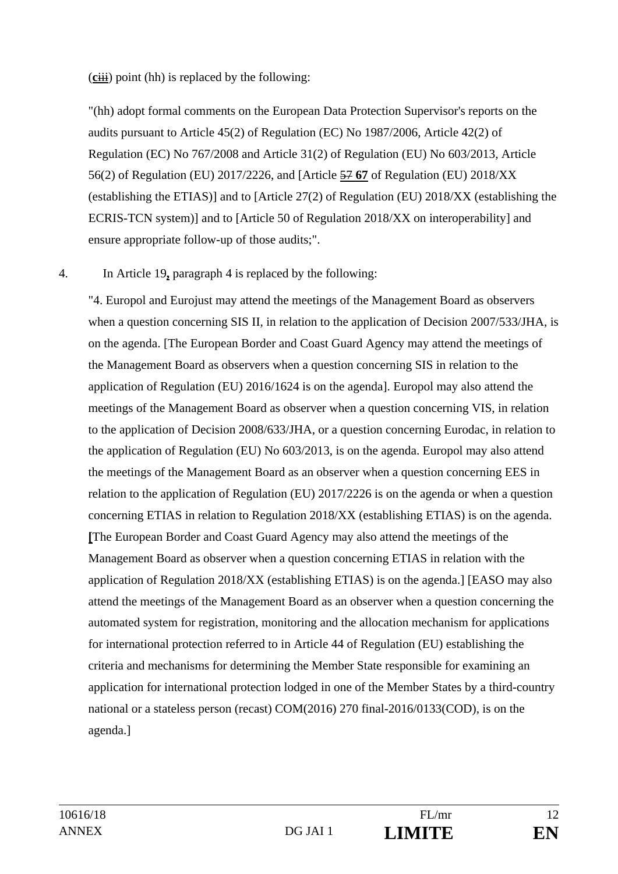(**c**iii) point (hh) is replaced by the following:

"(hh) adopt formal comments on the European Data Protection Supervisor's reports on the audits pursuant to Article 45(2) of Regulation (EC) No 1987/2006, Article 42(2) of Regulation (EC) No 767/2008 and Article 31(2) of Regulation (EU) No 603/2013, Article 56(2) of Regulation (EU) 2017/2226, and [Article 57 **67** of Regulation (EU) 2018/XX (establishing the ETIAS)] and to [Article 27(2) of Regulation (EU) 2018/XX (establishing the ECRIS-TCN system)] and to [Article 50 of Regulation 2018/XX on interoperability] and ensure appropriate follow-up of those audits;".

# 4. In Article 19**,** paragraph 4 is replaced by the following:

"4. Europol and Eurojust may attend the meetings of the Management Board as observers when a question concerning SIS II, in relation to the application of Decision 2007/533/JHA, is on the agenda. [The European Border and Coast Guard Agency may attend the meetings of the Management Board as observers when a question concerning SIS in relation to the application of Regulation (EU) 2016/1624 is on the agenda]. Europol may also attend the meetings of the Management Board as observer when a question concerning VIS, in relation to the application of Decision 2008/633/JHA, or a question concerning Eurodac, in relation to the application of Regulation (EU) No 603/2013, is on the agenda. Europol may also attend the meetings of the Management Board as an observer when a question concerning EES in relation to the application of Regulation (EU) 2017/2226 is on the agenda or when a question concerning ETIAS in relation to Regulation 2018/XX (establishing ETIAS) is on the agenda. **[**The European Border and Coast Guard Agency may also attend the meetings of the Management Board as observer when a question concerning ETIAS in relation with the application of Regulation 2018/XX (establishing ETIAS) is on the agenda.] [EASO may also attend the meetings of the Management Board as an observer when a question concerning the automated system for registration, monitoring and the allocation mechanism for applications for international protection referred to in Article 44 of Regulation (EU) establishing the criteria and mechanisms for determining the Member State responsible for examining an application for international protection lodged in one of the Member States by a third-country national or a stateless person (recast) COM(2016) 270 final-2016/0133(COD), is on the agenda.]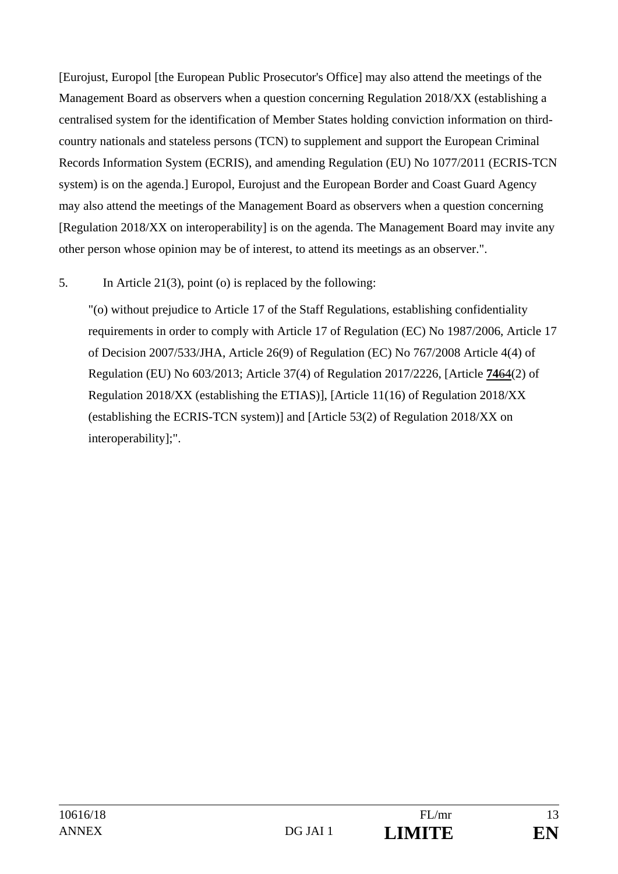[Eurojust, Europol [the European Public Prosecutor's Office] may also attend the meetings of the Management Board as observers when a question concerning Regulation 2018/XX (establishing a centralised system for the identification of Member States holding conviction information on thirdcountry nationals and stateless persons (TCN) to supplement and support the European Criminal Records Information System (ECRIS), and amending Regulation (EU) No 1077/2011 (ECRIS-TCN system) is on the agenda.] Europol, Eurojust and the European Border and Coast Guard Agency may also attend the meetings of the Management Board as observers when a question concerning [Regulation 2018/XX on interoperability] is on the agenda. The Management Board may invite any other person whose opinion may be of interest, to attend its meetings as an observer.".

# 5. In Article 21(3), point (o) is replaced by the following:

"(o) without prejudice to Article 17 of the Staff Regulations, establishing confidentiality requirements in order to comply with Article 17 of Regulation (EC) No 1987/2006, Article 17 of Decision 2007/533/JHA, Article 26(9) of Regulation (EC) No 767/2008 Article 4(4) of Regulation (EU) No 603/2013; Article 37(4) of Regulation 2017/2226, [Article **74**64(2) of Regulation 2018/XX (establishing the ETIAS)], [Article 11(16) of Regulation 2018/XX (establishing the ECRIS-TCN system)] and [Article 53(2) of Regulation 2018/XX on interoperability];".